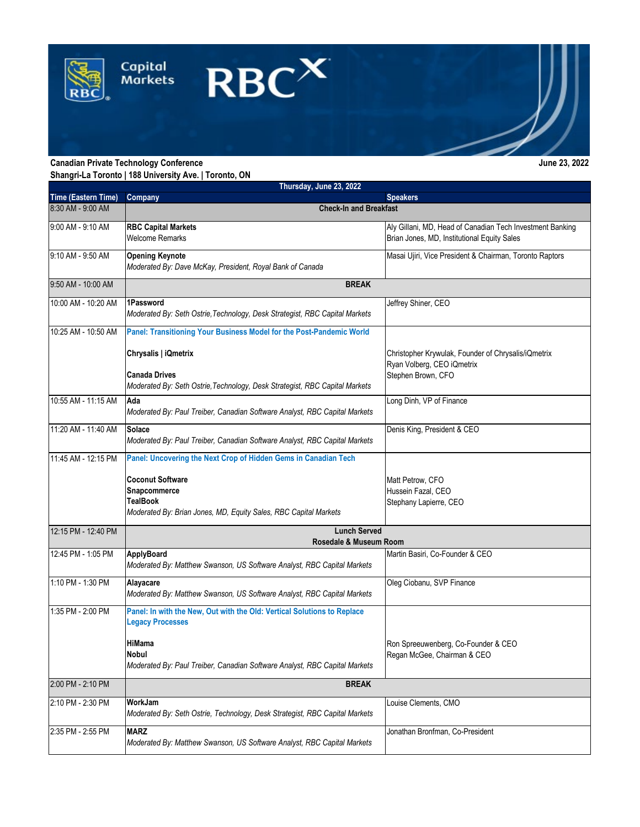

**Shangri-La Toronto | 188 University Ave. | Toronto, ON**

|                     | Thursday, June 23, 2022                                                                                                                                                                             |                                                                                                          |
|---------------------|-----------------------------------------------------------------------------------------------------------------------------------------------------------------------------------------------------|----------------------------------------------------------------------------------------------------------|
| Time (Eastern Time) | Company                                                                                                                                                                                             | <b>Speakers</b>                                                                                          |
| 8:30 AM - 9:00 AM   | <b>Check-In and Breakfast</b>                                                                                                                                                                       |                                                                                                          |
| 9:00 AM - 9:10 AM   | <b>RBC Capital Markets</b><br><b>Welcome Remarks</b>                                                                                                                                                | Aly Gillani, MD, Head of Canadian Tech Investment Banking<br>Brian Jones, MD, Institutional Equity Sales |
| 9:10 AM - 9:50 AM   | <b>Opening Keynote</b><br>Moderated By: Dave McKay, President, Royal Bank of Canada                                                                                                                 | Masai Ujiri, Vice President & Chairman, Toronto Raptors                                                  |
| 9:50 AM - 10:00 AM  | <b>BREAK</b>                                                                                                                                                                                        |                                                                                                          |
| 10:00 AM - 10:20 AM | 1Password<br>Moderated By: Seth Ostrie, Technology, Desk Strategist, RBC Capital Markets                                                                                                            | Jeffrey Shiner, CEO                                                                                      |
| 10:25 AM - 10:50 AM | Panel: Transitioning Your Business Model for the Post-Pandemic World                                                                                                                                |                                                                                                          |
|                     | Chrysalis   iQmetrix<br><b>Canada Drives</b>                                                                                                                                                        | Christopher Krywulak, Founder of Chrysalis/iQmetrix<br>Ryan Volberg, CEO iQmetrix<br>Stephen Brown, CFO  |
|                     | Moderated By: Seth Ostrie, Technology, Desk Strategist, RBC Capital Markets                                                                                                                         |                                                                                                          |
| 10:55 AM - 11:15 AM | Ada<br>Moderated By: Paul Treiber, Canadian Software Analyst, RBC Capital Markets                                                                                                                   | Long Dinh, VP of Finance                                                                                 |
| 11:20 AM - 11:40 AM | Solace<br>Moderated By: Paul Treiber, Canadian Software Analyst, RBC Capital Markets                                                                                                                | Denis King, President & CEO                                                                              |
| 11:45 AM - 12:15 PM | Panel: Uncovering the Next Crop of Hidden Gems in Canadian Tech                                                                                                                                     |                                                                                                          |
|                     | <b>Coconut Software</b><br>Snapcommerce<br><b>TealBook</b><br>Moderated By: Brian Jones, MD, Equity Sales, RBC Capital Markets                                                                      | Matt Petrow, CFO<br>Hussein Fazal, CEO<br>Stephany Lapierre, CEO                                         |
| 12:15 PM - 12:40 PM | <b>Lunch Served</b><br>Rosedale & Museum Room                                                                                                                                                       |                                                                                                          |
| 12:45 PM - 1:05 PM  | <b>ApplyBoard</b><br>Moderated By: Matthew Swanson, US Software Analyst, RBC Capital Markets                                                                                                        | Martin Basiri, Co-Founder & CEO                                                                          |
| 1:10 PM - 1:30 PM   | Alayacare<br>Moderated By: Matthew Swanson, US Software Analyst, RBC Capital Markets                                                                                                                | Oleg Ciobanu, SVP Finance                                                                                |
| 1:35 PM - 2:00 PM   | Panel: In with the New, Out with the Old: Vertical Solutions to Replace<br><b>Legacy Processes</b><br>HiMama<br>Nobul<br>Moderated By: Paul Treiber, Canadian Software Analyst, RBC Capital Markets | Ron Spreeuwenberg, Co-Founder & CEO<br>Regan McGee, Chairman & CEO                                       |
| 2:00 PM - 2:10 PM   | <b>BREAK</b>                                                                                                                                                                                        |                                                                                                          |
| 2:10 PM - 2:30 PM   | WorkJam<br>Moderated By: Seth Ostrie, Technology, Desk Strategist, RBC Capital Markets                                                                                                              | Louise Clements, CMO                                                                                     |
| 2:35 PM - 2:55 PM   | <b>MARZ</b><br>Moderated By: Matthew Swanson, US Software Analyst, RBC Capital Markets                                                                                                              | Jonathan Bronfman, Co-President                                                                          |